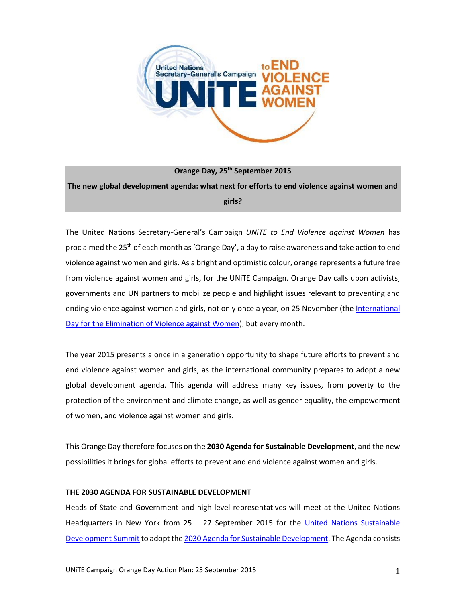

**Orange Day, 25th September 2015 The new global development agenda: what next for efforts to end violence against women and girls?**

The United Nations Secretary-General's Campaign *UNiTE to End Violence against Women* has proclaimed the 25<sup>th</sup> of each month as 'Orange Day', a day to raise awareness and take action to end violence against women and girls. As a bright and optimistic colour, orange represents a future free from violence against women and girls, for the UNiTE Campaign. Orange Day calls upon activists, governments and UN partners to mobilize people and highlight issues relevant to preventing and ending violence against women and girls, not only once a year, on 25 November (th[e International](http://www.unwomen.org/en/news/in-focus/end-violence-against-women)  [Day for the Elimination of Violence against Women\)](http://www.unwomen.org/en/news/in-focus/end-violence-against-women), but every month.

The year 2015 presents a once in a generation opportunity to shape future efforts to prevent and end violence against women and girls, as the international community prepares to adopt a new global development agenda. This agenda will address many key issues, from poverty to the protection of the environment and climate change, as well as gender equality, the empowerment of women, and violence against women and girls.

This Orange Day therefore focuses on the **2030 Agenda for Sustainable Development**, and the new possibilities it brings for global efforts to prevent and end violence against women and girls.

# **THE 2030 AGENDA FOR SUSTAINABLE DEVELOPMENT**

Heads of State and Government and high-level representatives will meet at the United Nations Headquarters in New York from 25 – 27 September 2015 for the [United Nations Sustainable](https://sustainabledevelopment.un.org/post2015/summit)  [Development Summit](https://sustainabledevelopment.un.org/post2015/summit) to adopt th[e 2030 Agenda for Sustainable Development.](http://www.un.org/ga/search/view_doc.asp?symbol=A/69/L.85&Lang=E) The Agenda consists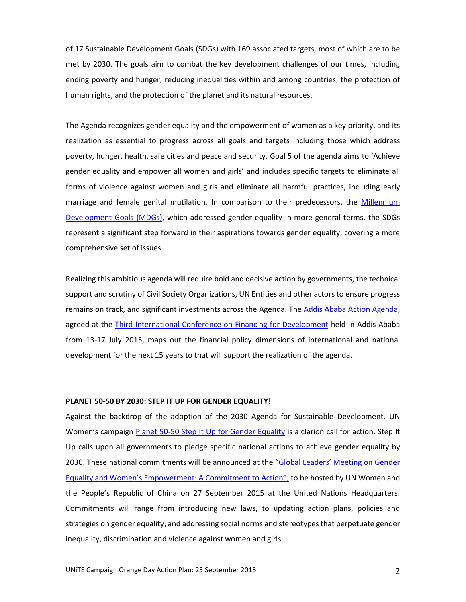of 17 Sustainable Development Goals (SDGs) with 169 associated targets, most of which are to be met by 2030. The goals aim to combat the key development challenges of our times, including ending poverty and hunger, reducing inequalities within and among countries, the protection of human rights, and the protection of the planet and its natural resources.

The Agenda recognizes gender equality and the empowerment of women as a key priority, and its realization as essential to progress across all goals and targets including those which address poverty, hunger, health, safe cities and peace and security. Goal 5 of the agenda aims to 'Achieve gender equality and empower all women and girls' and includes specific targets to eliminate all forms of violence against women and girls and eliminate all harmful practices, including early marriage and female genital mutilation. In comparison to their predecessors, the [Millennium](http://www.un.org/millenniumgoals/)  [Development Goals](http://www.un.org/millenniumgoals/) (MDGs), which addressed gender equality in more general terms, the SDGs represent a significant step forward in their aspirations towards gender equality, covering a more comprehensive set of issues.

Realizing this ambitious agenda will require bold and decisive action by governments, the technical support and scrutiny of Civil Society Organizations, UN Entities and other actors to ensure progress remains on track, and significant investments across the Agenda. The [Addis Ababa Action Agenda,](http://www.un.org/esa/ffd/ffd3/wp-content/uploads/sites/2/2015/07/Addis-Ababa-Action-Agenda-Draft-Outcome-Document-7-July-2015.pdf) agreed at the [Third International Conference on Financing for Development](http://www.un.org/esa/ffd/ffd3/) held in Addis Ababa from 13-17 July 2015, maps out the financial policy dimensions of international and national development for the next 15 years to that will support the realization of the agenda.

# **PLANET 50-50 BY 2030: STEP IT UP FOR GENDER EQUALITY!**

Against the backdrop of the adoption of the 2030 Agenda for Sustainable Development, UN Women's campaign Planet 50-50 Step It [Up for Gender Equality](http://beijing20.unwomen.org/en/step-it-up) is a clarion call for action. Step It Up calls upon all governments to pledge specific national actions to achieve gender equality by 2030. These national commitments will be announced at the "Global Leaders' Meeting on Gender [Equality and Women's Empowerment: A Commitment to Action"](http://beijing20.unwomen.org/~/media/field%20office%20beijing%20plus/attachments/events/concept%20note%20for%20global%20leaders%20meeting%2027%20sep.pdf), to be hosted by UN Women and the People's Republic of China on 27 September 2015 at the United Nations Headquarters. Commitments will range from introducing new laws, to updating action plans, policies and strategies on gender equality, and addressing social norms and stereotypes that perpetuate gender inequality, discrimination and violence against women and girls.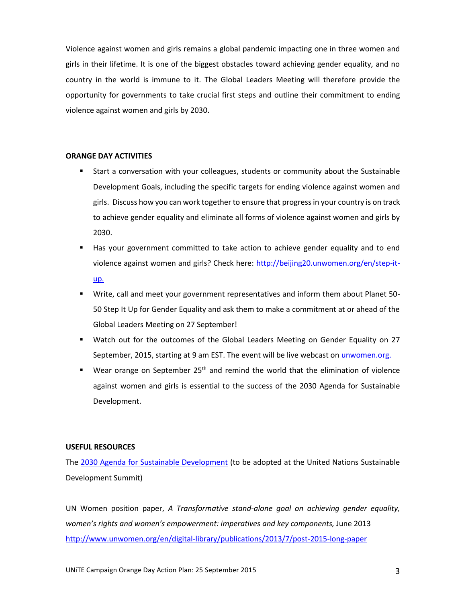Violence against women and girls remains a global pandemic impacting one in three women and girls in their lifetime. It is one of the biggest obstacles toward achieving gender equality, and no country in the world is immune to it. The Global Leaders Meeting will therefore provide the opportunity for governments to take crucial first steps and outline their commitment to ending violence against women and girls by 2030.

# **ORANGE DAY ACTIVITIES**

- Start a conversation with your colleagues, students or community about the Sustainable Development Goals, including the specific targets for ending violence against women and girls. Discuss how you can work together to ensure that progress in your country is on track to achieve gender equality and eliminate all forms of violence against women and girls by 2030.
- Has your government committed to take action to achieve gender equality and to end violence against women and girls? Check here: [http://beijing20.unwomen.org/en/step-it](http://beijing20.unwomen.org/en/step-it-up)[up.](http://beijing20.unwomen.org/en/step-it-up)
- Write, call and meet your government representatives and inform them about Planet 50- 50 Step It Up for Gender Equality and ask them to make a commitment at or ahead of the Global Leaders Meeting on 27 September!
- Watch out for the outcomes of the Global Leaders Meeting on Gender Equality on 27 September, 2015, starting at 9 am EST. The event will be live webcast on *unwomen.org.*
- **Wear orange on September 25<sup>th</sup> and remind the world that the elimination of violence** against women and girls is essential to the success of the 2030 Agenda for Sustainable Development.

#### **USEFUL RESOURCES**

The [2030 Agenda for Sustainable Development](http://www.un.org/ga/search/view_doc.asp?symbol=A/69/L.85&Lang=E) (to be adopted at the United Nations Sustainable Development Summit)

UN Women position paper, *A Transformative stand-alone goal on achieving gender equality, women's rights and women's empowerment: imperatives and key components, June 2013* <http://www.unwomen.org/en/digital-library/publications/2013/7/post-2015-long-paper>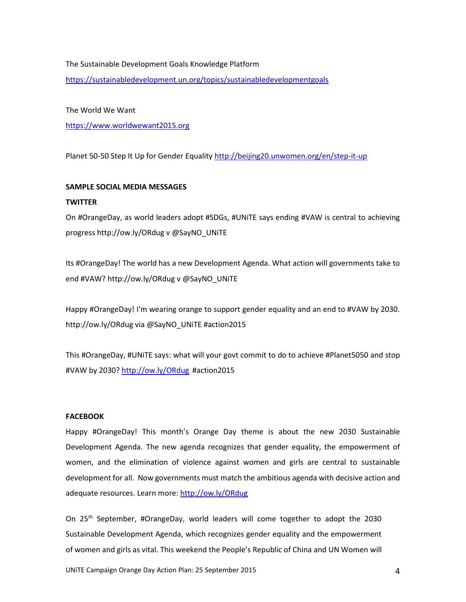# The Sustainable Development Goals Knowledge Platform

<https://sustainabledevelopment.un.org/topics/sustainabledevelopmentgoals>

The World We Want

[https://www.worldwewant2015.org](https://www.worldwewant2015.org/)

Planet 50-50 Step It Up for Gender Equality<http://beijing20.unwomen.org/en/step-it-up>

#### **SAMPLE SOCIAL MEDIA MESSAGES**

#### **TWITTER**

On #OrangeDay, as world leaders adopt #SDGs, #UNiTE says ending #VAW is central to achieving progress http://ow.ly/ORdug v @SayNO\_UNiTE

Its #OrangeDay! The world has a new Development Agenda. What action will governments take to end #VAW? http://ow.ly/ORdug v @SayNO\_UNiTE

Happy #OrangeDay! I'm wearing orange to support gender equality and an end to #VAW by 2030. http://ow.ly/ORdug via @SayNO\_UNiTE #action2015

This #OrangeDay, #UNiTE says: what will your govt commit to do to achieve #Planet5050 and stop #VAW by 2030?<http://ow.ly/ORdug> #action2015

## **FACEBOOK**

Happy #OrangeDay! This month's Orange Day theme is about the new 2030 Sustainable Development Agenda. The new agenda recognizes that gender equality, the empowerment of women, and the elimination of violence against women and girls are central to sustainable development for all. Now governments must match the ambitious agenda with decisive action and adequate resources. Learn more: <http://ow.ly/ORdug>

On 25th September, #OrangeDay, world leaders will come together to adopt the 2030 Sustainable Development Agenda, which recognizes gender equality and the empowerment of women and girls as vital. This weekend the People's Republic of China and UN Women will